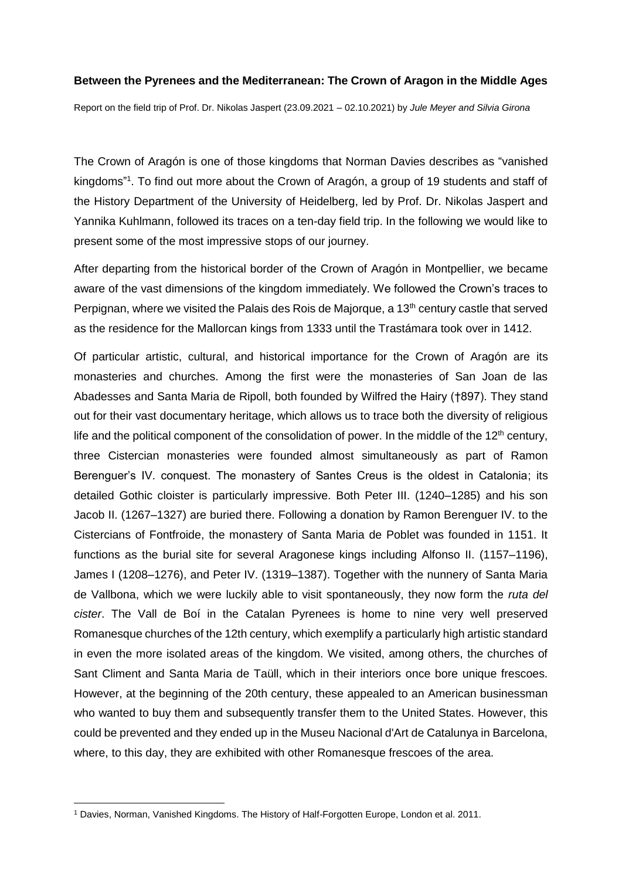## **Between the Pyrenees and the Mediterranean: The Crown of Aragon in the Middle Ages**

Report on the field trip of Prof. Dr. Nikolas Jaspert (23.09.2021 – 02.10.2021) by *Jule Meyer and Silvia Girona*

The Crown of Aragón is one of those kingdoms that Norman Davies describes as "vanished kingdoms"<sup>1</sup>. To find out more about the Crown of Aragón, a group of 19 students and staff of the History Department of the University of Heidelberg, led by Prof. Dr. Nikolas Jaspert and Yannika Kuhlmann, followed its traces on a ten-day field trip. In the following we would like to present some of the most impressive stops of our journey.

After departing from the historical border of the Crown of Aragón in Montpellier, we became aware of the vast dimensions of the kingdom immediately. We followed the Crown's traces to Perpignan, where we visited the Palais des Rois de Majorque, a 13<sup>th</sup> century castle that served as the residence for the Mallorcan kings from 1333 until the Trastámara took over in 1412.

Of particular artistic, cultural, and historical importance for the Crown of Aragón are its monasteries and churches. Among the first were the monasteries of San Joan de las Abadesses and Santa Maria de Ripoll, both founded by Wilfred the Hairy (†897). They stand out for their vast documentary heritage, which allows us to trace both the diversity of religious life and the political component of the consolidation of power. In the middle of the  $12<sup>th</sup>$  century, three Cistercian monasteries were founded almost simultaneously as part of Ramon Berenguer's IV. conquest. The monastery of Santes Creus is the oldest in Catalonia; its detailed Gothic cloister is particularly impressive. Both Peter III. (1240–1285) and his son Jacob II. (1267–1327) are buried there. Following a donation by Ramon Berenguer IV. to the Cistercians of Fontfroide, the monastery of Santa Maria de Poblet was founded in 1151. It functions as the burial site for several Aragonese kings including Alfonso II. (1157–1196), James I (1208–1276), and Peter IV. (1319–1387). Together with the nunnery of Santa Maria de Vallbona, which we were luckily able to visit spontaneously, they now form the *ruta del cister*. The Vall de Boí in the Catalan Pyrenees is home to nine very well preserved Romanesque churches of the 12th century, which exemplify a particularly high artistic standard in even the more isolated areas of the kingdom. We visited, among others, the churches of Sant Climent and Santa Maria de Taüll, which in their interiors once bore unique frescoes. However, at the beginning of the 20th century, these appealed to an American businessman who wanted to buy them and subsequently transfer them to the United States. However, this could be prevented and they ended up in the Museu Nacional d'Art de Catalunya in Barcelona, where, to this day, they are exhibited with other Romanesque frescoes of the area.

 $\overline{a}$ 

<sup>1</sup> Davies, Norman, Vanished Kingdoms. The History of Half-Forgotten Europe, London et al. 2011.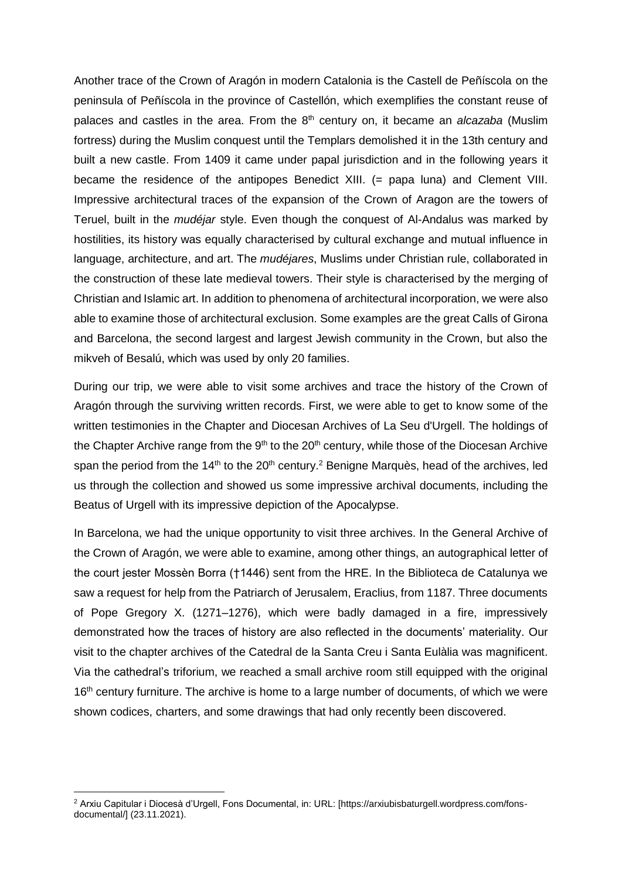Another trace of the Crown of Aragón in modern Catalonia is the Castell de Peñíscola on the peninsula of Peñíscola in the province of Castellón, which exemplifies the constant reuse of palaces and castles in the area. From the 8<sup>th</sup> century on, it became an *alcazaba* (Muslim fortress) during the Muslim conquest until the Templars demolished it in the 13th century and built a new castle. From 1409 it came under papal jurisdiction and in the following years it became the residence of the antipopes Benedict XIII. (= papa luna) and Clement VIII. Impressive architectural traces of the expansion of the Crown of Aragon are the towers of Teruel, built in the *mudéjar* style. Even though the conquest of Al-Andalus was marked by hostilities, its history was equally characterised by cultural exchange and mutual influence in language, architecture, and art. The *mudéjares*, Muslims under Christian rule, collaborated in the construction of these late medieval towers. Their style is characterised by the merging of Christian and Islamic art. In addition to phenomena of architectural incorporation, we were also able to examine those of architectural exclusion. Some examples are the great Calls of Girona and Barcelona, the second largest and largest Jewish community in the Crown, but also the mikveh of Besalú, which was used by only 20 families.

During our trip, we were able to visit some archives and trace the history of the Crown of Aragón through the surviving written records. First, we were able to get to know some of the written testimonies in the Chapter and Diocesan Archives of La Seu d'Urgell. The holdings of the Chapter Archive range from the  $9<sup>th</sup>$  to the 20<sup>th</sup> century, while those of the Diocesan Archive span the period from the 14<sup>th</sup> to the 20<sup>th</sup> century.<sup>2</sup> Benigne Marquès, head of the archives, led us through the collection and showed us some impressive archival documents, including the Beatus of Urgell with its impressive depiction of the Apocalypse.

In Barcelona, we had the unique opportunity to visit three archives. In the General Archive of the Crown of Aragón, we were able to examine, among other things, an autographical letter of the court jester Mossèn Borra (†1446) sent from the HRE. In the Biblioteca de Catalunya we saw a request for help from the Patriarch of Jerusalem, Eraclius, from 1187. Three documents of Pope Gregory X. (1271–1276), which were badly damaged in a fire, impressively demonstrated how the traces of history are also reflected in the documents' materiality. Our visit to the chapter archives of the Catedral de la Santa Creu i Santa Eulàlia was magnificent. Via the cathedral's triforium, we reached a small archive room still equipped with the original 16<sup>th</sup> century furniture. The archive is home to a large number of documents, of which we were shown codices, charters, and some drawings that had only recently been discovered.

 $\overline{a}$ 

<sup>2</sup> Arxiu Capitular i Diocesà d'Urgell, Fons Documental, in: URL: [https://arxiubisbaturgell.wordpress.com/fonsdocumental/] (23.11.2021).